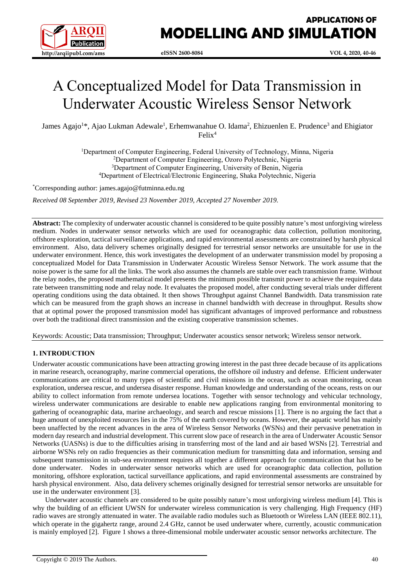

# A Conceptualized Model for Data Transmission in Underwater Acoustic Wireless Sensor Network

James Agajo<sup>1\*</sup>, Ajao Lukman Adewale<sup>1</sup>, Erhemwanahue O. Idama<sup>2</sup>, Ehizuenlen E. Prudence<sup>3</sup> and Ehigiator Felix<sup>4</sup>

> Department of Computer Engineering, Federal University of Technology, Minna, Nigeria Department of Computer Engineering, Ozoro Polytechnic, Nigeria <sup>3</sup>Department of Computer Engineering, University of Benin, Nigeria Department of Electrical/Electronic Engineering, Shaka Polytechnic, Nigeria

\*Corresponding author: james.agajo@futminna.edu.ng

*Received 08 September 2019, Revised 23 November 2019, Accepted 27 November 2019.*

**Abstract:** The complexity of underwater acoustic channel is considered to be quite possibly nature's most unforgiving wireless medium. Nodes in underwater sensor networks which are used for oceanographic data collection, pollution monitoring, offshore exploration, tactical surveillance applications, and rapid environmental assessments are constrained by harsh physical environment. Also, data delivery schemes originally designed for terrestrial sensor networks are unsuitable for use in the underwater environment. Hence, this work investigates the development of an underwater transmission model by proposing a conceptualized Model for Data Transmission in Underwater Acoustic Wireless Sensor Network. The work assume that the noise power is the same for all the links. The work also assumes the channels are stable over each transmission frame. Without the relay nodes, the proposed mathematical model presents the minimum possible transmit power to achieve the required data rate between transmitting node and relay node. It evaluates the proposed model, after conducting several trials under different operating conditions using the data obtained. It then shows Throughput against Channel Bandwidth. Data transmission rate which can be measured from the graph shows an increase in channel bandwidth with decrease in throughput. Results show that at optimal power the proposed transmission model has significant advantages of improved performance and robustness over both the traditional direct transmission and the existing cooperative transmission schemes.

Keywords: Acoustic; Data transmission; Throughput; Underwater acoustics sensor network; Wireless sensor network.

# **1. INTRODUCTION**

Underwater acoustic communications have been attracting growing interest in the past three decade because of its applications in marine research, oceanography, marine commercial operations, the offshore oil industry and defense. Efficient underwater communications are critical to many types of scientific and civil missions in the ocean, such as ocean monitoring, ocean exploration, undersea rescue, and undersea disaster response. Human knowledge and understanding of the oceans, rests on our ability to collect information from remote undersea locations. Together with sensor technology and vehicular technology, wireless underwater communications are desirable to enable new applications ranging from environmental monitoring to gathering of oceanographic data, marine archaeology, and search and rescue missions [1]. There is no arguing the fact that a huge amount of unexploited resources lies in the 75% of the earth covered by oceans. However, the aquatic world has mainly been unaffected by the recent advances in the area of Wireless Sensor Networks (WSNs) and their pervasive penetration in modern day research and industrial development. This current slow pace of research in the area of Underwater Acoustic Sensor Networks (UASNs) is due to the difficulties arising in transferring most of the land and air based WSNs [2]. Terrestrial and airborne WSNs rely on radio frequencies as their communication medium for transmitting data and information, sensing and subsequent transmission in sub-sea environment requires all together a different approach for communication that has to be done underwater.Nodes in underwater sensor networks which are used for oceanographic data collection, pollution monitoring, offshore exploration, tactical surveillance applications, and rapid environmental assessments are constrained by harsh physical environment. Also, data delivery schemes originally designed for terrestrial sensor networks are unsuitable for use in the underwater environment [3].

Underwater acoustic channels are considered to be quite possibly nature's most unforgiving wireless medium [4]. This is why the building of an efficient UWSN for underwater wireless communication is very challenging. High Frequency (HF) radio waves are strongly attenuated in water. The available radio modules such as Bluetooth or Wireless LAN (IEEE 802.11), which operate in the gigahertz range, around 2.4 GHz, cannot be used underwater where, currently, acoustic communication is mainly employed [2]. Figure 1 shows a three-dimensional mobile underwater acoustic sensor networks architecture. The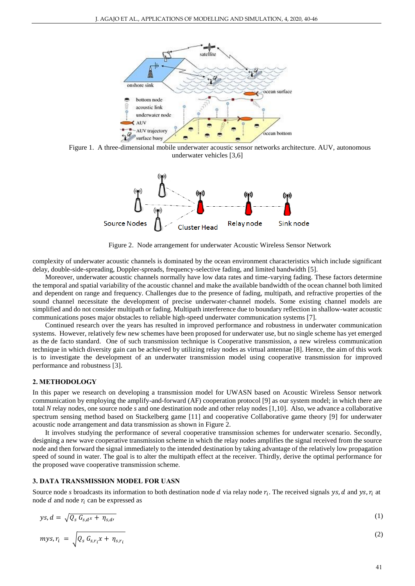

Figure 1. A three-dimensional mobile underwater acoustic sensor networks architecture. AUV, autonomous underwater vehicles [3,6]



Figure 2. Node arrangement for underwater Acoustic Wireless Sensor Network

complexity of underwater acoustic channels is dominated by the ocean environment characteristics which include significant delay, double-side-spreading, Doppler-spreads, frequency-selective fading, and limited bandwidth [5].

Moreover, underwater acoustic channels normally have low data rates and time-varying fading. These factors determine the temporal and spatial variability of the acoustic channel and make the available bandwidth of the ocean channel both limited and dependent on range and frequency. Challenges due to the presence of fading, multipath, and refractive properties of the sound channel necessitate the development of precise underwater-channel models. Some existing channel models are simplified and do not consider multipath or fading. Multipath interference due to boundary reflection in shallow-water acoustic communications poses major obstacles to reliable high-speed underwater communication systems [7].

Continued research over the years has resulted in improved performance and robustness in underwater communication systems. However, relatively few new schemes have been proposed for underwater use, but no single scheme has yet emerged as the de facto standard. One of such transmission technique is Cooperative transmission, a new wireless communication technique in which diversity gain can be achieved by utilizing relay nodes as virtual antennae [8]. Hence, the aim of this work is to investigate the development of an underwater transmission model using cooperative transmission for improved performance and robustness [3].

#### **2. METHODOLOGY**

In this paper we research on developing a transmission model for UWASN based on Acoustic Wireless Sensor network communication by employing the amplify-and-forward (AF) cooperation protocol [9] as our system model; in which there are total *N* relay nodes, one source node *s* and one destination node and other relay nodes [1,10]. Also, we advance a collaborative spectrum sensing method based on Stackelberg game [11] and cooperative Collaborative game theory [9] for underwater acoustic node arrangement and data transmission as shown in Figure 2.

It involves studying the performance of several cooperative transmission schemes for underwater scenario. Secondly, designing a new wave cooperative transmission scheme in which the relay nodes amplifies the signal received from the source node and then forward the signal immediately to the intended destination by taking advantage of the relatively low propagation speed of sound in water. The goal is to alter the multipath effect at the receiver. Thirdly, derive the optimal performance for the proposed wave cooperative transmission scheme.

## **3. DATA TRANSMISSION MODEL FOR UASN**

Source node *s* broadcasts its information to both destination node  $d$  via relay node  $r_i$ . The received signals ys,  $d$  and ys,  $r_i$  at node  $d$  and node  $r_i$  can be expressed as

$$
ys, d = \sqrt{Q_s G_{s,d} x + \eta_{s,d} t} \tag{1}
$$

$$
mys, r_i = \sqrt{Q_s G_{s,r_i} x + \eta_{s,r_i}}
$$
 (2)

 $(2)$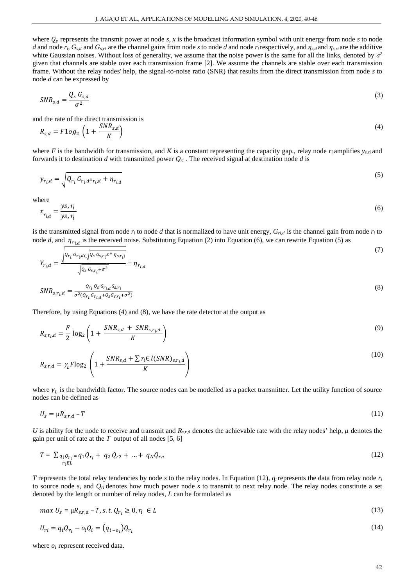where  $Q_s$  represents the transmit power at node  $s$ ,  $x$  is the broadcast information symbol with unit energy from node  $s$  to node d and node  $r_i$ ,  $G_{s,d}$  and  $G_{s,ri}$  are the channel gains from node s to node d and node  $r_i$  respectively, and  $\eta_{s,d}$  and  $\eta_{s,n}$  are the additive white Gaussian noises. Without loss of generality, we assume that the noise power is the same for all the links, denoted by  $\sigma^2$ given that channels are stable over each transmission frame [2]. We assume the channels are stable over each transmission frame. Without the relay nodes' help, the signal-to-noise ratio (SNR) that results from the direct transmission from node *s* to node *d* can be expressed by

$$
SNR_{s,d} = \frac{Q_s G_{s,d}}{\sigma^2} \tag{3}
$$

and the rate of the direct transmission is

$$
R_{s,d} = F1og_2 \left(1 + \frac{SNR_{s,d}}{K}\right) \tag{4}
$$

where *F* is the bandwidth for transmission, and *K* is a constant representing the capacity gap., relay node  $r_i$  amplifies  $y_{s,ri}$  and forwards it to destination *d* with transmitted power *Qri* . The received signal at destination node *d* is

$$
y_{r_i,d} = \sqrt{Q_{r_i} G_{r_i,d} x_{r_i,d} + \eta_{r_{i,d}}}
$$
\n<sup>(5)</sup>

where

$$
x_{r_{i,d}} = \frac{ys, r_i}{ys, r_i} \tag{6}
$$

is the transmitted signal from node  $r_i$  to node *d* that is normalized to have unit energy,  $G_{ri,d}$  is the channel gain from node  $r_i$  to node *d*, and  $\eta_{r_{i,d}}$  is the received noise. Substituting Equation (2) into Equation (6), we can rewrite Equation (5) as

$$
Y_{r_{i},d} = \frac{\sqrt{Q_{r_{i}} G_{r_{i},d}(\sqrt{Q_{s} G_{s,r_{i}} \chi^{+} \eta_{s,r_{i}})}}}{\sqrt{Q_{r_{i},d} \chi^{2}} + \eta_{r_{i},d}}
$$
(7)

$$
\sqrt{Q_S G_{S,r_i} + \sigma^2} \qquad \cdots \qquad \ldots
$$
\n
$$
SNR_{S,r_i,d} = \frac{Q_{r_i} Q_S G_{r_i,d} G_{S,r_i}}{\sigma^2 (Q_{r_i} G_{r_i,d} + Q_S G_{S,r_i} + \sigma^2)}
$$
\n
$$
(8)
$$

Therefore, by using Equations (4) and (8), we have the rate detector at the output as

$$
R_{s,r_i,d} = \frac{F}{2} \log_2 \left( 1 + \frac{SNR_{s,d} + SNR_{s,r_i,d}}{K} \right) \tag{9}
$$

$$
R_{s,r,d} = \gamma_L F \log_2 \left( 1 + \frac{SNR_{s,d} + \sum \gamma_i \in l(SNR)_{s,r_i,d}}{K} \right)
$$
\n
$$
(10)
$$

where  $\gamma_L$  is the bandwidth factor. The source nodes can be modelled as a packet transmitter. Let the utility function of source node*s* can be defined as

$$
U_s = \mu R_{s,r,d} - T \tag{11}
$$

*U* is ability for the node to receive and transmit and  $R_{s,r,d}$  denotes the achievable rate with the relay nodes' help,  $\mu$  denotes the gain per unit of rate at the *T* output of all nodes [5, 6]

$$
T = \sum_{\substack{q_i \, Q_{r_i} = q_1 Q_{r_i} + q_2 \, Q_{r2} + \dots + q_N Q_{rn}}}
$$
\n
$$
(12)
$$

*T* represents the total relay tendencies by node *s* to the relay nodes. In Equation (12),  $q_i$  represents the data from relay node  $r_i$ to source node *s*, and  $Q_{ri}$  denotes how much power node *s* to transmit to next relay node. The relay nodes constitute a set denoted by the length or number of relay nodes, *L* can be formulated as

$$
max U_s = \mu R_{s,r,d} - T, s.t. Q_{r_i} \ge 0, r_i \in L
$$
\n
$$
(13)
$$

$$
U_{ri} = q_i Q_{r_i} - o_i Q_i = (q_{i-o_i}) Q_{r_i}
$$
\n
$$
(14)
$$

where  $o_i$  represent received data.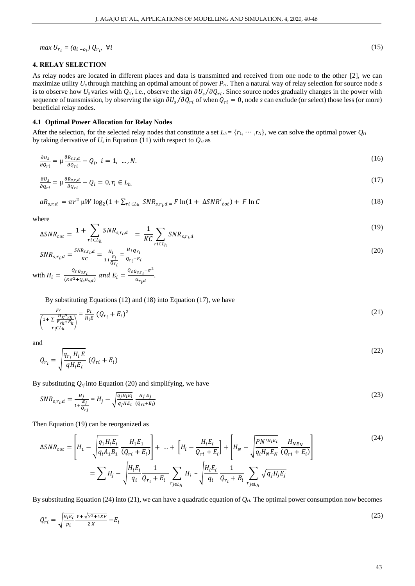*max*  $U_{r_i} = (q_{i - o_i}) Q_{r_i}$ ,  $\forall i$  (15)

## **4. RELAY SELECTION**

As relay nodes are located in different places and data is transmitted and received from one node to the other [2], we can maximize utility *Us* through matching an optimal amount of power *Pri*. Then a natural way of relay selection for source node *s*  is to observe how  $U_s$  varies with  $Q_{ri}$ , i.e., observe the sign  $\partial U_s/\partial Q_{ri}$ . Since source nodes gradually changes in the power with sequence of transmission, by observing the sign  $\partial U_s/\partial Q_{ri}$  of when  $Q_{ri} = 0$ , node *s* can exclude (or select) those less (or more) beneficial relay nodes.

#### **4.1 Optimal Power Allocation for Relay Nodes**

After the selection, for the selected relay nodes that constitute a set  $L_h = \{r_1, \dots, r_N\}$ , we can solve the optimal power  $Q_n$ by taking derivative of  $U_s$  in Equation (11) with respect to  $Q_{ri}$  as

$$
\frac{\partial v_s}{\partial q_{ri}} = \mu \frac{\partial R_{s,r,d}}{\partial q_{ri}} - Q_i, \ i = 1, \dots, N. \tag{16}
$$

$$
\frac{\partial v_s}{\partial q_{ri}} = \mu \frac{\partial R_{s,r,d}}{\partial q_{ri}} - Q_i = 0, r_i \in L_h
$$
\n(17)

$$
aR_{s,r,d} = \pi r^2 \mu W \log_2(1 + \sum_{ri \in L_h} SNR_{s,r_i,d} = F \ln(1 + \Delta SNR'_{tot}) + F \ln C
$$
\n(18)

where

$$
\Delta SNR_{tot} = 1 + \sum_{ri \in L_h} SNR_{s, r_i, d} = \frac{1}{KC} \sum_{ri \in L_h} SNR_{s, r_i, d}
$$
\n
$$
(19)
$$

$$
SNR_{s,r_i,d} = \frac{SNR_{s,r_i,d}}{KC} = \frac{H_i}{1 + \frac{E_i}{Q_{r_i}}} = \frac{H_i o_{r_i}}{o_{r_i} + E_i}
$$
(20)

with 
$$
H_i = \frac{Q_s \, G_{s,r_i}}{(K\sigma^2 + Q_s G_{s,d})}
$$
 and  $E_i = \frac{Q_s \, G_{s,r_i} + \sigma^2}{G_{r_i,d}}$ .

By substituting Equations (12) and (18) into Equation (17), we have

$$
\frac{F_l}{\left(1+\sum_{\substack{F_{rk}F_{rk} \\ r_i \in L_h}}\right)} = \frac{p_i}{H_i E} \left(Q_{r_i} + E_i\right)^2 \tag{21}
$$

and

$$
Q_{r_i} = \sqrt{\frac{q_{r_i} H_i E}{q H_i E_i}} (Q_{ri} + E_i)
$$
\n<sup>(22)</sup>

By substituting  $Q_{rj}$  into Equation (20) and simplifying, we have

$$
SNR_{s,r_i,d} = \frac{H_j}{1 + \frac{E_j}{Q_{rj}}} = H_j - \sqrt{\frac{q_j H_i E_i}{q_j H E_i}} \frac{H_j E_j}{(Q_{r_i} + E_i)}
$$
(23)

Then Equation (19) can be reorganized as

$$
\Delta SNR_{tot} = \left[ H_1 - \sqrt{\frac{q_1 H_i E_i}{q_i A_1 B_1}} \frac{H_1 E_1}{(Q_{ri} + E_i)} \right] + \dots + \left[ H_i - \frac{H_i E_i}{Q_{ri} + E_i} \right] + \left[ H_N - \sqrt{\frac{P N'^{H_i E_i}}{q_i H_N E_N}} \frac{H_{N E_N}}{(Q_{ri} + E_i)} \right]
$$
\n
$$
= \sum H_j - \sqrt{\frac{H_i E_i}{q_i}} \frac{1}{Q_{r_i} + E_i} \sum_{r_j \in L_h} H_i - \sqrt{\frac{H_i E_i}{q_i}} \frac{1}{Q_{r_i} + B_i} \sum_{r_j \in L_h} \sqrt{q_j H_j E_j}
$$
\n
$$
(24)
$$

By substituting Equation (24) into (21), we can have a quadratic equation of  $Q_{ri}$ . The optimal power consumption now becomes

$$
Q_{ri}^* = \sqrt{\frac{H_i E_i}{p_i} \frac{Y + \sqrt{Y^2 + 4XF}}{2X}} - E_i
$$
\n
$$
(25)
$$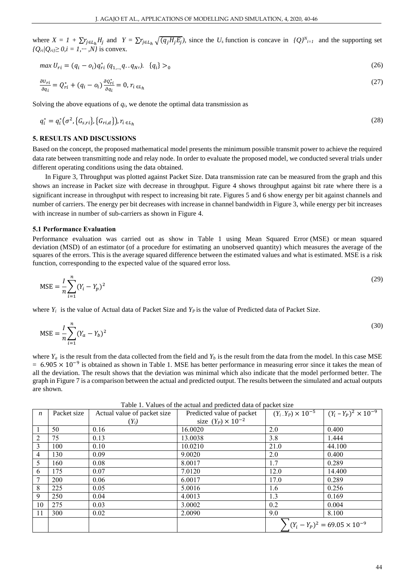where  $X = I + \sum r_{j \in L_h} H_j$  and  $Y = \sum r_{j \in L_h} \sqrt{(q_j H_j E_j)}$ , since the  $U_s$  function is concave in  $\{Q\}^{N_{i=1}}$  and the supporting set  $\{Q_{ri} | Q_{ri} \ge 0, i = 1, \cdots, N\}$  is convex.

$$
max U_{ri} = (q_i - o_i)q_{ri}^* (q_{1,\dots,1}, q_i, q_N), \quad \{q_i\} >_0
$$
\n(26)

$$
\frac{\partial v_{ri}}{\partial q_i} = Q_{ri}^* + (q_i - o_i) \frac{\partial Q_{ri}^*}{\partial q_i} = 0, r_{i \in L_h}
$$
\n
$$
(27)
$$

Solving the above equations of  $q_i$ , we denote the optimal data transmission as

$$
q_i^* = q_i^* \big( \sigma^2, \{ G_{s,ri} \}, \{ G_{ri,d} \} \big), r_{i \in L_h} \tag{28}
$$

### **5. RESULTS AND DISCUSSIONS**

Based on the concept, the proposed mathematical model presents the minimum possible transmit power to achieve the required data rate between transmitting node and relay node. In order to evaluate the proposed model, we conducted several trials under different operating conditions using the data obtained.

In Figure 3, Throughput was plotted against Packet Size. Data transmission rate can be measured from the graph and this shows an increase in Packet size with decrease in throughput. Figure 4 shows throughput against bit rate where there is a significant increase in throughput with respect to increasing bit rate. Figures 5 and 6 show energy per bit against channels and number of carriers. The energy per bit decreases with increase in channel bandwidth in Figure 3, while energy per bit increases with increase in number of sub-carriers as shown in Figure 4.

#### **5.1 Performance Evaluation**

Performance evaluation was carried out as show in Table 1 using Mean Squared Error (MSE) or mean squared deviation (MSD) of an [estimator](https://en.wikipedia.org/wiki/Estimator) (of a procedure for estimating an unobserved quantity) which measures the [average](https://en.wikipedia.org/wiki/Expected_value) of the squares of the [errors.](https://en.wikipedia.org/wiki/Error_(statistics)) This is the average squared difference between the estimated values and what is estimated. MSE is a [risk](https://en.wikipedia.org/wiki/Risk_function)  [function,](https://en.wikipedia.org/wiki/Risk_function) corresponding to the [expected value](https://en.wikipedia.org/wiki/Expected_value) of the squared error loss.

$$
MSE = \frac{I}{n} \sum_{i=1}^{n} (Y_i - Y_p)^2
$$
\n(29)

where  $Y_i$  is the value of Actual data of Packet Size and  $Y_P$  is the value of Predicted data of Packet Size.

$$
MSE = \frac{I}{n} \sum_{i=1}^{n} (Y_a - Y_b)^2
$$
\n(30)

where  $Y_a$  is the result from the data collected from the field and  $Y_b$  is the result from the data from the model. In this case MSE  $= 6.905 \times 10^{-9}$  is obtained as shown in Table 1. MSE has better performance in measuring error since it takes the mean of all the deviation. The result shows that the deviation was minimal which also indicate that the model performed better. The graph in Figure 7 is a comparison between the actual and predicted output. The results between the simulated and actual outputs are shown.

| $\boldsymbol{n}$        | Packet size | Actual value of packet size | Predicted value of packet   |                                        | $(Y_i - Y_P) \times 10^{-5}$ $(Y_i - Y_P)^2 \times 10^{-9}$ |
|-------------------------|-------------|-----------------------------|-----------------------------|----------------------------------------|-------------------------------------------------------------|
|                         |             | $(Y_i)$                     | size $(Y_P) \times 10^{-2}$ |                                        |                                                             |
|                         | 50          | 0.16                        | 16.0020                     | 2.0                                    | 0.400                                                       |
| $\overline{\mathbf{c}}$ | 75          | 0.13                        | 13.0038                     | 3.8                                    | 1.444                                                       |
| 3                       | 100         | 0.10                        | 10.0210                     | 21.0                                   | 44.100                                                      |
| 4                       | 130         | 0.09                        | 9.0020                      | 2.0                                    | 0.400                                                       |
| 5                       | 160         | 0.08                        | 8.0017                      | 1.7                                    | 0.289                                                       |
| 6                       | 175         | 0.07                        | 7.0120                      | 12.0                                   | 14.400                                                      |
| 7                       | 200         | 0.06                        | 6.0017                      | 17.0                                   | 0.289                                                       |
| 8                       | 225         | 0.05                        | 5.0016                      | 1.6                                    | 0.256                                                       |
| 9                       | 250         | 0.04                        | 4.0013                      | 1.3                                    | 0.169                                                       |
| 10                      | 275         | 0.03                        | 3.0002                      | 0.2                                    | 0.004                                                       |
| 11                      | 300         | 0.02                        | 2.0090                      | 9.0                                    | 8.100                                                       |
|                         |             |                             |                             | $(Y_i - Y_p)^2 = 69.05 \times 10^{-9}$ |                                                             |
|                         |             |                             |                             |                                        |                                                             |

Table 1. Values of the actual and predicted data of packet size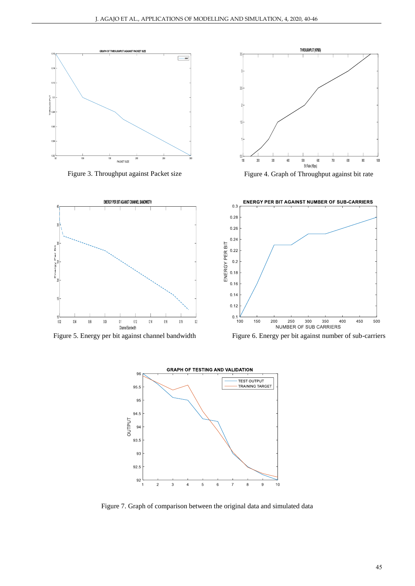



Figure 3. Throughput against Packet size Figure 4. Graph of Throughput against bit rate



Figure 5. Energy per bit against channel bandwidth Figure 6. Energy per bit against number of sub-carriers





Figure 7. Graph of comparison between the original data and simulated data